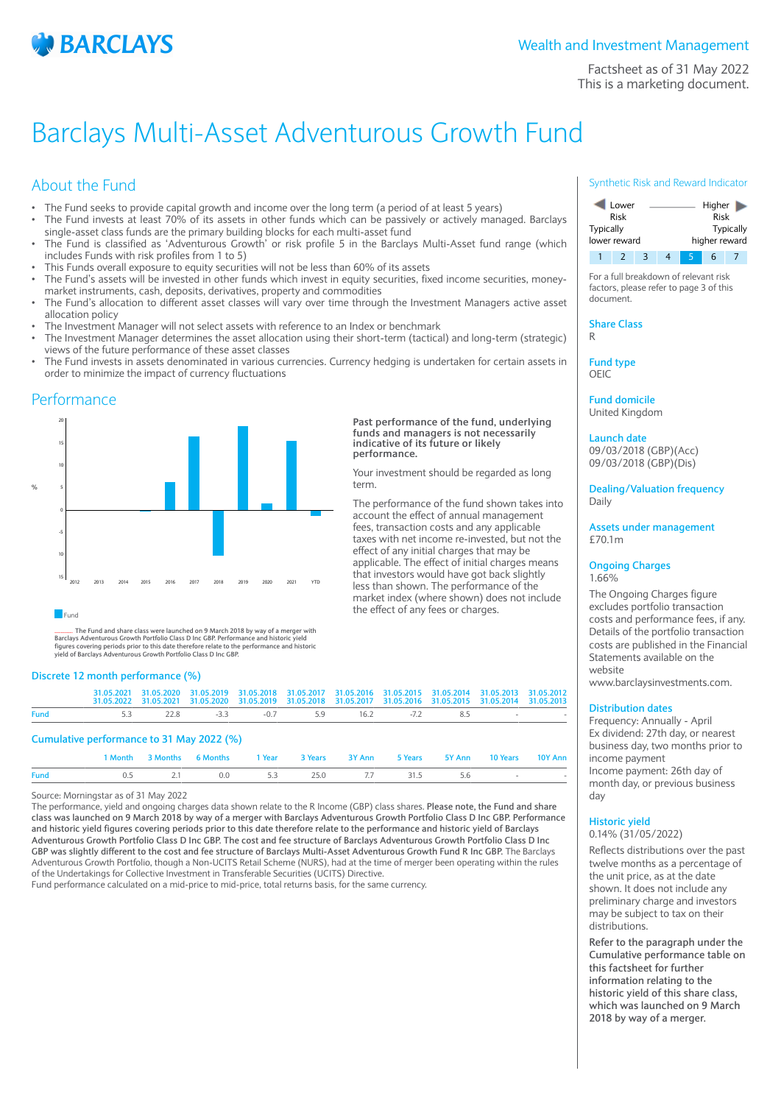

Factsheet as of 31 May 2022 This is a marketing document.

# Barclays Multi-Asset Adventurous Growth Fund

# About the Fund

- The Fund seeks to provide capital growth and income over the long term (a period of at least 5 years)
- The Fund invests at least 70% of its assets in other funds which can be passively or actively managed. Barclays single-asset class funds are the primary building blocks for each multi-asset fund
- The Fund is classified as 'Adventurous Growth' or risk profile 5 in the Barclays Multi-Asset fund range (which includes Funds with risk profiles from 1 to 5)
- This Funds overall exposure to equity securities will not be less than 60% of its assets
- The Fund's assets will be invested in other funds which invest in equity securities, fixed income securities, moneymarket instruments, cash, deposits, derivatives, property and commodities
- The Fund's allocation to different asset classes will vary over time through the Investment Managers active asset allocation policy
- The Investment Manager will not select assets with reference to an Index or benchmark
- The Investment Manager determines the asset allocation using their short-term (tactical) and long-term (strategic) views of the future performance of these asset classes
- The Fund invests in assets denominated in various currencies. Currency hedging is undertaken for certain assets in order to minimize the impact of currency fluctuations

**Past performance of the fund, underlying funds and managers is not necessarily indicative of its future or likely**

Your investment should be regarded as long

The performance of the fund shown takes into account the effect of annual management fees, transaction costs and any applicable taxes with net income re-invested, but not the effect of any initial charges that may be applicable. The effect of initial charges means that investors would have got back slightly less than shown. The performance of the market index (where shown) does not include

the effect of any fees or charges.

**performance.**

term.

## Performance



#### **Fund**

............ **The Fund and share class were launched on 9 March 2018 by way of a merger with Barclays Adventurous Growth Portfolio Class D Inc GBP. Performance and historic figures covering periods prior to this date therefore relate to the performance and historic yield of Barclays Adventurous Growth Portfolio Class D Inc GBP.**

## **Discrete 12 month performance (%)**

|                                           |                                          |  |  |  |  |  |  | 31.05.2021 31.05.2020 31.05.2019 31.05.2018 31.05.2017 31.05.2016 31.05.2015 31.05.2014 31.05.2013 31.05.2012<br>31.05.2022 31.05.2021 31.05.2020 31.05.2019 31.05.2018 31.05.2017 31.05.2016 31.05.2015 31.05.2014 31.05.2013 |  |  |
|-------------------------------------------|------------------------------------------|--|--|--|--|--|--|--------------------------------------------------------------------------------------------------------------------------------------------------------------------------------------------------------------------------------|--|--|
| <b>Fund</b>                               | 5.3 22.8 -3.3 -0.7 5.9 16.2 -7.2 8.5 - - |  |  |  |  |  |  |                                                                                                                                                                                                                                |  |  |
| Cumulative performance to 31 May 2022 (%) |                                          |  |  |  |  |  |  |                                                                                                                                                                                                                                |  |  |

|                                            |  | 1 Month 3 Months 6 Months 1 Year 3 Years 3 Y Ann 5 Years 5 Y Ann 10 Years 10 Y Ann |  |  |  |  |
|--------------------------------------------|--|------------------------------------------------------------------------------------|--|--|--|--|
| Fund 0.5 2.1 0.0 5.3 25.0 7.7 31.5 5.6 - - |  |                                                                                    |  |  |  |  |

Source: Morningstar as of 31 May 2022

The performance, yield and ongoing charges data shown relate to the R Income (GBP) class shares. **Please note, the Fund and share class was launched on 9 March 2018 by way of a merger with Barclays Adventurous Growth Portfolio Class D Inc GBP. Performance and historic yield figures covering periods prior to this date therefore relate to the performance and historic yield of Barclays Adventurous Growth Portfolio Class D Inc GBP. The cost and fee structure of Barclays Adventurous Growth Portfolio Class D Inc GBP was slightly different to the cost and fee structure of Barclays Multi-Asset Adventurous Growth Fund R Inc GBP.** The Barclays Adventurous Growth Portfolio, though a Non-UCITS Retail Scheme (NURS), had at the time of merger been operating within the rules of the Undertakings for Collective Investment in Transferable Securities (UCITS) Directive. Fund performance calculated on a mid-price to mid-price, total returns basis, for the same currency.

#### Synthetic Risk and Reward Indicator



For a full breakdown of relevant risk factors, please refer to page 3 of this document.

**Share Class** R

**Fund type**

OEIC

**Fund domicile** United Kingdom

**Launch date**

09/03/2018 (GBP)(Acc) 09/03/2018 (GBP)(Dis)

**Dealing/Valuation frequency** Daily

**Assets under management** £70.1m

#### **Ongoing Charges** 1.66%

The Ongoing Charges figure excludes portfolio transaction costs and performance fees, if any. Details of the portfolio transaction costs are published in the Financial Statements available on the website

www.barclaysinvestments.com.

## **Distribution dates**

Frequency: Annually - April Ex dividend: 27th day, or nearest business day, two months prior to income payment Income payment: 26th day of month day, or previous business day

## **Historic yield**

0.14% (31/05/2022)

Reflects distributions over the past twelve months as a percentage of the unit price, as at the date shown. It does not include any preliminary charge and investors may be subject to tax on their distributions.

**Refer to the paragraph under the Cumulative performance table on this factsheet for further information relating to the historic yield of this share class, which was launched on 9 March 2018 by way of a merger.**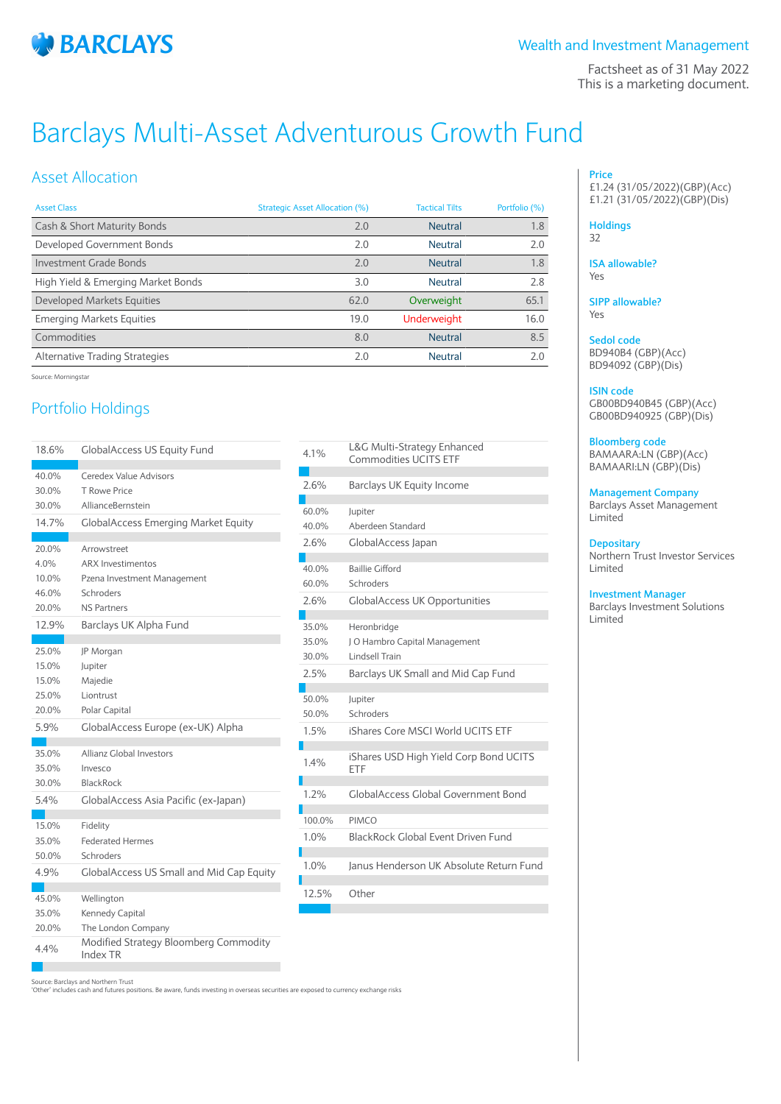

Factsheet as of 31 May 2022 This is a marketing document.

# Barclays Multi-Asset Adventurous Growth Fund

## Asset Allocation

| <b>Asset Class</b>                 | Strategic Asset Allocation (%) | <b>Tactical Tilts</b> | Portfolio (%) |
|------------------------------------|--------------------------------|-----------------------|---------------|
| Cash & Short Maturity Bonds        | 2.0                            | <b>Neutral</b>        | 1.8           |
| Developed Government Bonds         | 2.0                            | <b>Neutral</b>        | 2.0           |
| <b>Investment Grade Bonds</b>      | 2.0                            | Neutral               | 1.8           |
| High Yield & Emerging Market Bonds | 3.0                            | Neutral               | 2.8           |
| <b>Developed Markets Equities</b>  | 62.0                           | Overweight            | 65.1          |
| <b>Emerging Markets Equities</b>   | 19.0                           | <b>Underweight</b>    | 16.0          |
| Commodities                        | 8.0                            | Neutral               | 8.5           |
| Alternative Trading Strategies     | 2.0                            | <b>Neutral</b>        | 2.0           |

Source: Morningstar

# Portfolio Holdings

| 18.6% | <b>GlobalAccess US Equity Fund</b>                |
|-------|---------------------------------------------------|
| 40.0% | Ceredex Value Advisors                            |
| 30.0% | T Rowe Price                                      |
| 30.0% | AllianceBernstein                                 |
| 14.7% | <b>GlobalAccess Emerging Market Equity</b>        |
|       |                                                   |
| 20.0% | Arrowstreet                                       |
| 4.0%  | <b>ARX Investimentos</b>                          |
| 10.0% | Pzena Investment Management                       |
| 46.0% | Schroders                                         |
| 20.0% | <b>NS Partners</b>                                |
| 12.9% | Barclays UK Alpha Fund                            |
|       |                                                   |
| 25.0% | JP Morgan                                         |
| 15.0% | Jupiter                                           |
| 15.0% | Majedie                                           |
| 25.0% | Liontrust                                         |
| 20.0% | Polar Capital                                     |
| 5.9%  | GlobalAccess Europe (ex-UK) Alpha                 |
| 35.0% | <b>Allianz Global Investors</b>                   |
| 35.0% | Invesco                                           |
| 30.0% | <b>BlackRock</b>                                  |
| 5.4%  |                                                   |
|       | GlobalAccess Asia Pacific (ex-Japan)              |
| 15.0% | Fidelity                                          |
| 35.0% | <b>Federated Hermes</b>                           |
| 50.0% | Schroders                                         |
| 4.9%  | GlobalAccess US Small and Mid Cap Equity          |
|       |                                                   |
| 45.0% | Wellington                                        |
| 35.0% | Kennedy Capital                                   |
| 20.0% | The London Company                                |
| 4.4%  | Modified Strategy Bloomberg Commodity<br>Index TR |
|       |                                                   |

| 4.1%   | L&G Multi-Strategy Enhanced<br>Commodities UCITS ETF |
|--------|------------------------------------------------------|
| 2.6%   | <b>Barclays UK Equity Income</b>                     |
| 60.0%  | Jupiter                                              |
| 40.0%  | Aberdeen Standard                                    |
| 2.6%   | GlobalAccess Japan                                   |
| 40.0%  | <b>Baillie Gifford</b>                               |
| 60.0%  | Schroders                                            |
| 2.6%   | <b>GlobalAccess UK Opportunities</b>                 |
| 35.0%  | Heronbridge                                          |
| 35.0%  | J O Hambro Capital Management                        |
| 30.0%  | Lindsell Train                                       |
| 2.5%   | Barclays UK Small and Mid Cap Fund                   |
| 50.0%  | Jupiter                                              |
| 50.0%  | Schroders                                            |
| 1.5%   | iShares Core MSCI World UCITS ETF                    |
| 1.4%   | iShares USD High Yield Corp Bond UCITS<br>FTF        |
| 1.2%   | <b>GlobalAccess Global Government Bond</b>           |
| 100.0% | <b>PIMCO</b>                                         |
| 1.0%   | BlackRock Global Event Driven Fund                   |
| 1.0%   | Janus Henderson UK Absolute Return Fund              |
| 12.5%  | Other                                                |

## **Price** £1.24 (31/05/2022)(GBP)(Acc) £1.21 (31/05/2022)(GBP)(Dis)

## **Holdings**

32

**ISA allowable?** Yes

**SIPP allowable?** Yes

**Sedol code** BD940B4 (GBP)(Acc) BD94092 (GBP)(Dis)

## **ISIN code**

GB00BD940B45 (GBP)(Acc) GB00BD940925 (GBP)(Dis)

## **Bloomberg code**

BAMAARA:LN (GBP)(Acc) BAMAARI:LN (GBP)(Dis)

**Management Company**

Barclays Asset Management Limited

## **Depositary**

Northern Trust Investor Services Limited

## **Investment Manager**

Barclays Investment Solutions Limited

Source: Barclays and Northern Trust 'Other' includes cash and futures positions. Be aware, funds investing in overseas securities are exposed to currency exchange risks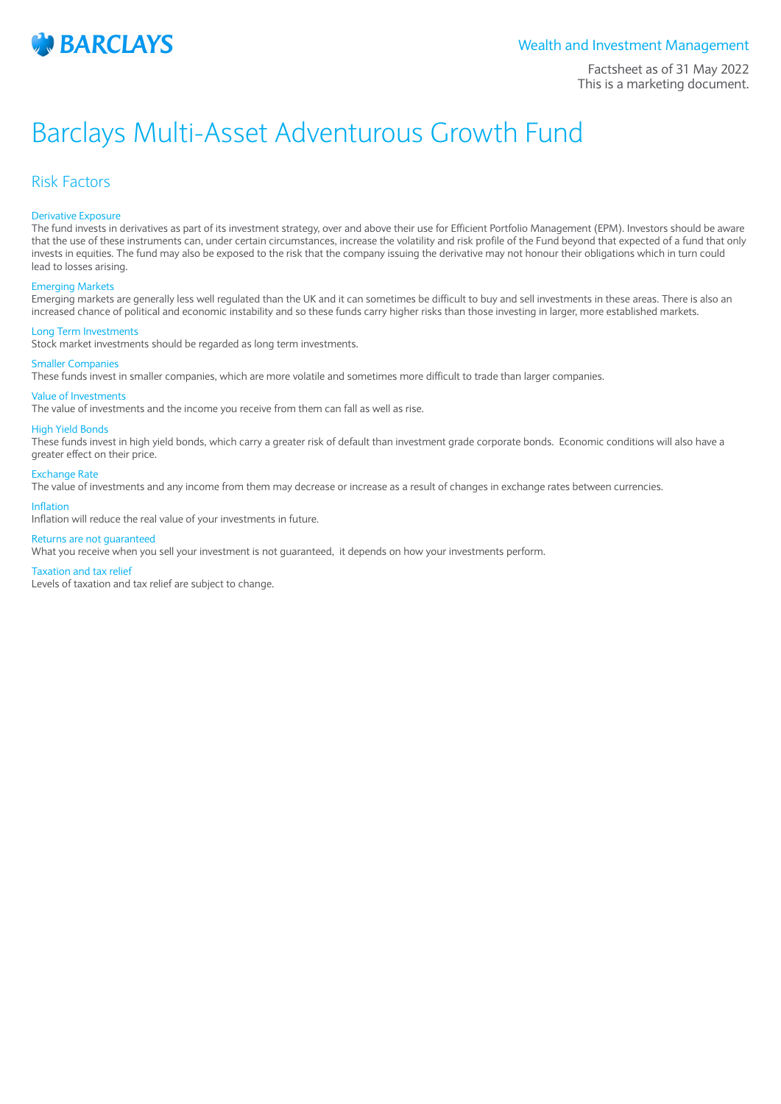

Factsheet as of 31 May 2022 This is a marketing document.

# Barclays Multi-Asset Adventurous Growth Fund

## Risk Factors

## Derivative Exposure

The fund invests in derivatives as part of its investment strategy, over and above their use for Efficient Portfolio Management (EPM). Investors should be aware that the use of these instruments can, under certain circumstances, increase the volatility and risk profile of the Fund beyond that expected of a fund that only invests in equities. The fund may also be exposed to the risk that the company issuing the derivative may not honour their obligations which in turn could lead to losses arising.

#### Emerging Markets

Emerging markets are generally less well regulated than the UK and it can sometimes be difficult to buy and sell investments in these areas. There is also an increased chance of political and economic instability and so these funds carry higher risks than those investing in larger, more established markets.

#### Long Term Investments

Stock market investments should be regarded as long term investments.

## Smaller Companies

These funds invest in smaller companies, which are more volatile and sometimes more difficult to trade than larger companies.

## Value of Investments

The value of investments and the income you receive from them can fall as well as rise.

## High Yield Bonds

These funds invest in high yield bonds, which carry a greater risk of default than investment grade corporate bonds. Economic conditions will also have a greater effect on their price.

#### Exchange Rate

The value of investments and any income from them may decrease or increase as a result of changes in exchange rates between currencies.

## Inflation

Inflation will reduce the real value of your investments in future.

## Returns are not guaranteed

What you receive when you sell your investment is not guaranteed, it depends on how your investments perform.

#### Taxation and tax relief

Levels of taxation and tax relief are subject to change.